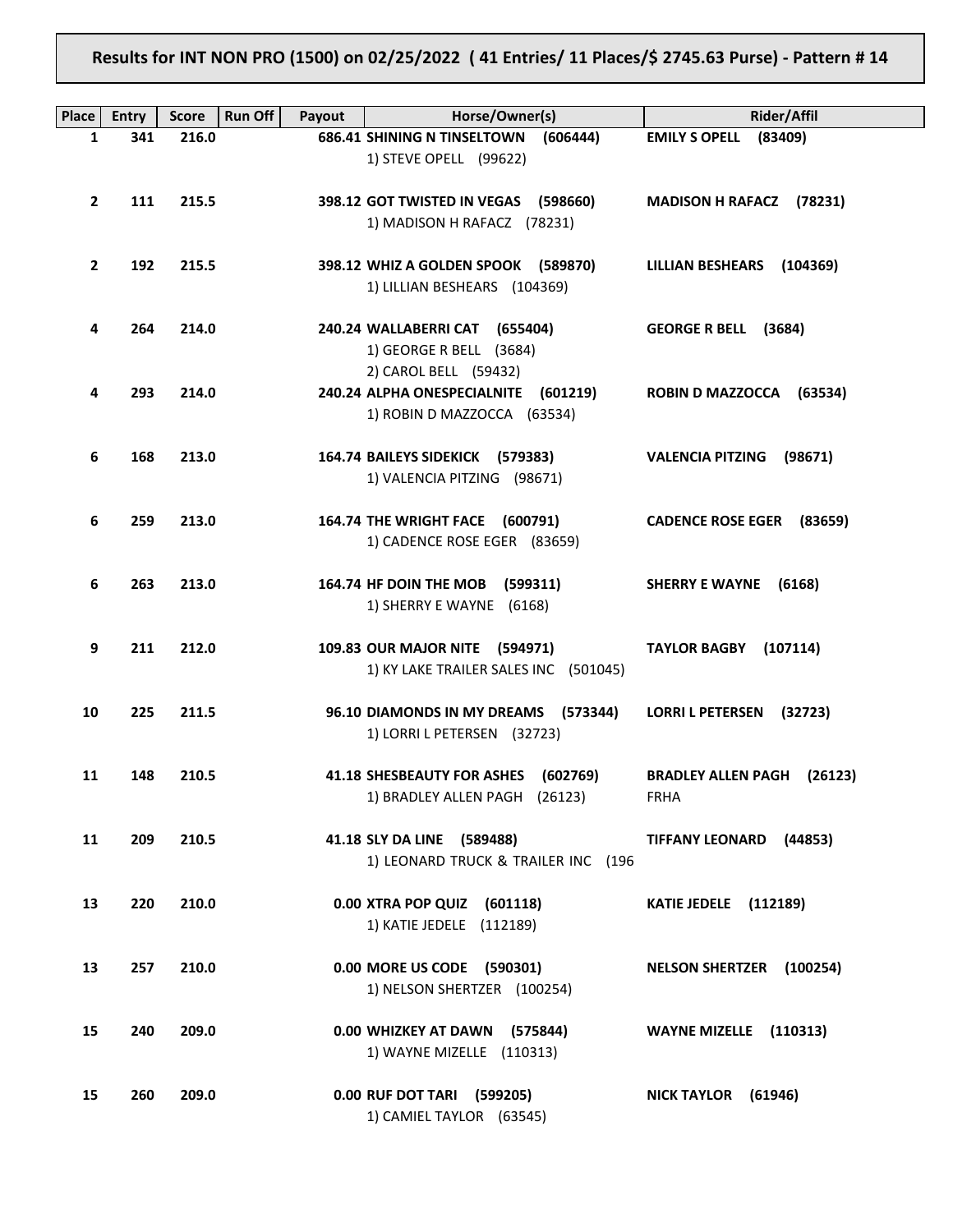**Results for INT NON PRO (1500) on 02/25/2022 ( 41 Entries/ 11 Places/\$ 2745.63 Purse) - Pattern # 14**

| Place        | <b>Entry</b> | <b>Run Off</b><br><b>Score</b> | Payout | Horse/Owner(s)                                                          | <b>Rider/Affil</b>                 |
|--------------|--------------|--------------------------------|--------|-------------------------------------------------------------------------|------------------------------------|
| 1            | 341          | 216.0                          |        | <b>686.41 SHINING N TINSELTOWN</b><br>(606444)                          | EMILY S OPELL (83409)              |
|              |              |                                |        | 1) STEVE OPELL (99622)                                                  |                                    |
| $\mathbf{2}$ | 111          | 215.5                          |        | 398.12 GOT TWISTED IN VEGAS (598660)                                    | MADISON H RAFACZ (78231)           |
|              |              |                                |        | 1) MADISON H RAFACZ (78231)                                             |                                    |
|              |              |                                |        |                                                                         |                                    |
| $\mathbf{2}$ | 192          | 215.5                          |        | 398.12 WHIZ A GOLDEN SPOOK (589870)                                     | LILLIAN BESHEARS (104369)          |
|              |              |                                |        | 1) LILLIAN BESHEARS (104369)                                            |                                    |
| 4            | 264          | 214.0                          |        | 240.24 WALLABERRI CAT (655404)                                          | GEORGE R BELL (3684)               |
|              |              |                                |        | 1) GEORGE R BELL (3684)                                                 |                                    |
|              |              |                                |        | 2) CAROL BELL (59432)                                                   |                                    |
| 4            | 293          | 214.0                          |        | 240.24 ALPHA ONESPECIALNITE (601219)                                    | ROBIN D MAZZOCCA (63534)           |
|              |              |                                |        | 1) ROBIN D MAZZOCCA (63534)                                             |                                    |
| 6            | 168          | 213.0                          |        | 164.74 BAILEYS SIDEKICK (579383)                                        | <b>VALENCIA PITZING</b><br>(98671) |
|              |              |                                |        | 1) VALENCIA PITZING (98671)                                             |                                    |
|              |              |                                |        |                                                                         |                                    |
| 6            | 259          | 213.0                          |        | 164.74 THE WRIGHT FACE (600791)                                         | CADENCE ROSE EGER (83659)          |
|              |              |                                |        | 1) CADENCE ROSE EGER (83659)                                            |                                    |
| 6            | 263          | 213.0                          |        | 164.74 HF DOIN THE MOB<br>(599311)                                      | <b>SHERRY E WAYNE</b><br>(6168)    |
|              |              |                                |        | 1) SHERRY E WAYNE (6168)                                                |                                    |
|              |              |                                |        |                                                                         |                                    |
| 9            | 211          | 212.0                          |        | 109.83 OUR MAJOR NITE (594971)<br>1) KY LAKE TRAILER SALES INC (501045) | <b>TAYLOR BAGBY</b><br>(107114)    |
|              |              |                                |        |                                                                         |                                    |
| 10           | 225          | 211.5                          |        | 96.10 DIAMONDS IN MY DREAMS (573344)                                    | <b>LORRI L PETERSEN</b><br>(32723) |
|              |              |                                |        | 1) LORRI L PETERSEN (32723)                                             |                                    |
| 11           | 148          | 210.5                          |        | 41.18 SHESBEAUTY FOR ASHES (602769)                                     | <b>BRADLEY ALLEN PAGH (26123)</b>  |
|              |              |                                |        | 1) BRADLEY ALLEN PAGH (26123)                                           | FRHA                               |
|              |              |                                |        |                                                                         |                                    |
| 11           | 209          | 210.5                          |        | 41.18 SLY DA LINE (589488)                                              | <b>TIFFANY LEONARD</b><br>(44853)  |
|              |              |                                |        | 1) LEONARD TRUCK & TRAILER INC (196                                     |                                    |
| 13           | 220          | 210.0                          |        | 0.00 XTRA POP QUIZ (601118)                                             | <b>KATIE JEDELE</b> (112189)       |
|              |              |                                |        | 1) KATIE JEDELE (112189)                                                |                                    |
|              |              |                                |        |                                                                         |                                    |
| 13           | 257          | 210.0                          |        | 0.00 MORE US CODE (590301)                                              | NELSON SHERTZER (100254)           |
|              |              |                                |        | 1) NELSON SHERTZER (100254)                                             |                                    |
| 15           | 240          | 209.0                          |        | 0.00 WHIZKEY AT DAWN (575844)                                           | WAYNE MIZELLE (110313)             |
|              |              |                                |        | 1) WAYNE MIZELLE (110313)                                               |                                    |
|              |              |                                |        |                                                                         |                                    |
| 15           | 260          | 209.0                          |        | 0.00 RUF DOT TARI (599205)                                              | NICK TAYLOR (61946)                |
|              |              |                                |        | 1) CAMIEL TAYLOR (63545)                                                |                                    |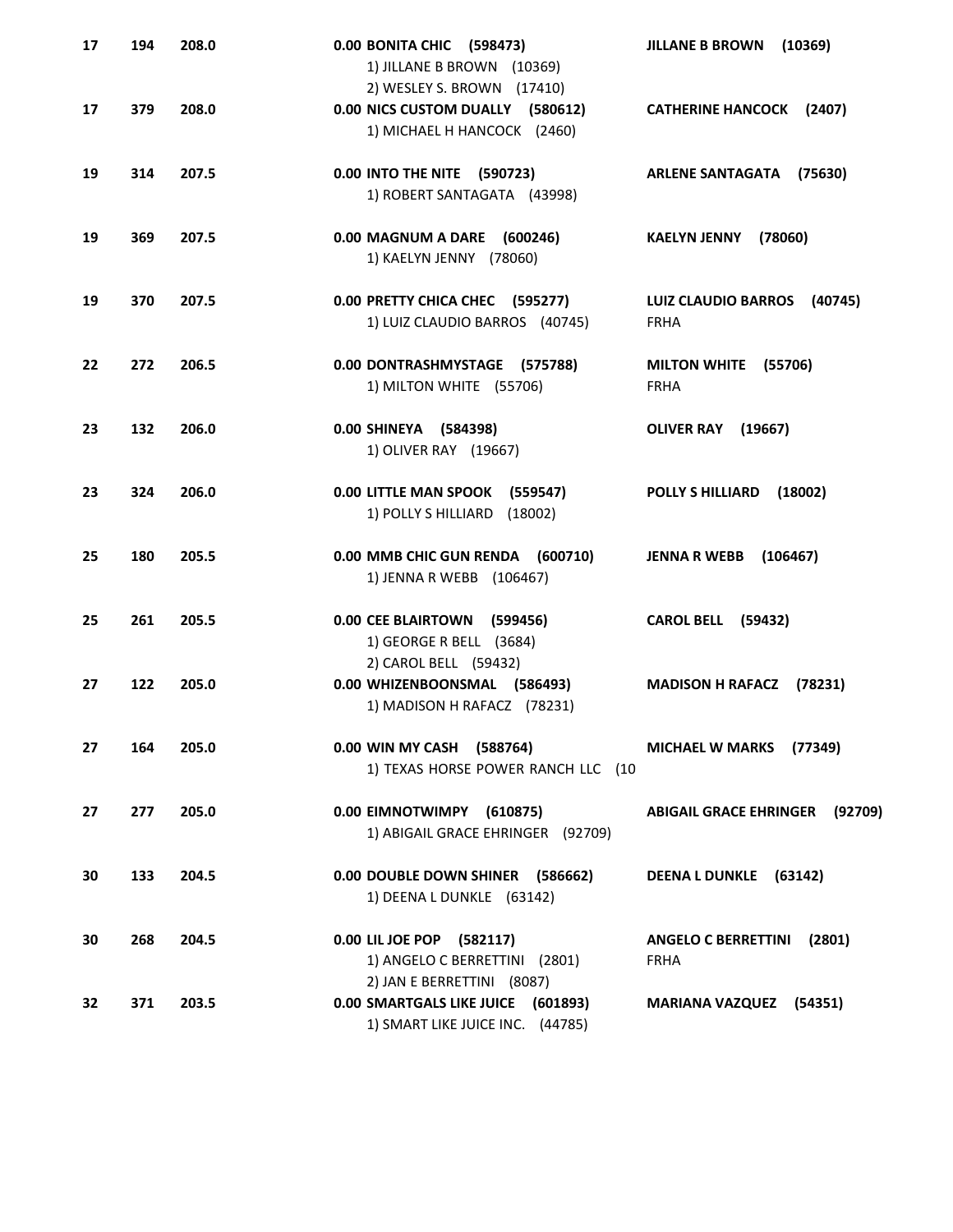| 17 | 194 | 208.0 | 0.00 BONITA CHIC (598473)<br>1) JILLANE B BROWN (10369)<br>2) WESLEY S. BROWN (17410)                | <b>JILLANE B BROWN</b><br>(10369)                    |
|----|-----|-------|------------------------------------------------------------------------------------------------------|------------------------------------------------------|
| 17 | 379 | 208.0 | 0.00 NICS CUSTOM DUALLY (580612)<br>1) MICHAEL H HANCOCK (2460)                                      | <b>CATHERINE HANCOCK (2407)</b>                      |
| 19 | 314 | 207.5 | 0.00 INTO THE NITE (590723)<br>1) ROBERT SANTAGATA (43998)                                           | <b>ARLENE SANTAGATA</b><br>(75630)                   |
| 19 | 369 | 207.5 | 0.00 MAGNUM A DARE (600246)<br>1) KAELYN JENNY (78060)                                               | <b>KAELYN JENNY</b><br>(78060)                       |
| 19 | 370 | 207.5 | 0.00 PRETTY CHICA CHEC (595277)<br>1) LUIZ CLAUDIO BARROS (40745)                                    | <b>LUIZ CLAUDIO BARROS</b><br>(40745)<br><b>FRHA</b> |
| 22 | 272 | 206.5 | 0.00 DONTRASHMYSTAGE (575788)<br>1) MILTON WHITE (55706)                                             | <b>MILTON WHITE</b><br>(55706)<br><b>FRHA</b>        |
| 23 | 132 | 206.0 | 0.00 SHINEYA (584398)<br>1) OLIVER RAY (19667)                                                       | <b>OLIVER RAY</b><br>(19667)                         |
| 23 | 324 | 206.0 | 0.00 LITTLE MAN SPOOK<br>(559547)<br>1) POLLY S HILLIARD<br>(18002)                                  | <b>POLLY S HILLIARD</b><br>(18002)                   |
| 25 | 180 | 205.5 | 0.00 MMB CHIC GUN RENDA (600710)<br>1) JENNA R WEBB (106467)                                         | <b>JENNA R WEBB</b><br>(106467)                      |
| 25 | 261 | 205.5 | 0.00 CEE BLAIRTOWN<br>(599456)<br>1) GEORGE R BELL (3684)                                            | <b>CAROL BELL (59432)</b>                            |
| 27 | 122 | 205.0 | 2) CAROL BELL (59432)<br>0.00 WHIZENBOONSMAL (586493)<br>1) MADISON H RAFACZ (78231)                 | <b>MADISON H RAFACZ</b><br>(78231)                   |
| 27 | 164 | 205.0 | 0.00 WIN MY CASH (588764)<br>1) TEXAS HORSE POWER RANCH LLC (10                                      | <b>MICHAEL W MARKS</b><br>(77349)                    |
| 27 | 277 | 205.0 | 0.00 EIMNOTWIMPY (610875)<br>1) ABIGAIL GRACE EHRINGER (92709)                                       | <b>ABIGAIL GRACE EHRINGER (92709)</b>                |
| 30 | 133 | 204.5 | 0.00 DOUBLE DOWN SHINER (586662)<br>1) DEENA L DUNKLE (63142)                                        | DEENA L DUNKLE (63142)                               |
| 30 | 268 | 204.5 | 0.00 LIL JOE POP (582117)<br>1) ANGELO C BERRETTINI (2801)                                           | <b>ANGELO C BERRETTINI</b><br>(2801)<br><b>FRHA</b>  |
| 32 | 371 | 203.5 | 2) JAN E BERRETTINI (8087)<br>0.00 SMARTGALS LIKE JUICE (601893)<br>1) SMART LIKE JUICE INC. (44785) | <b>MARIANA VAZQUEZ (54351)</b>                       |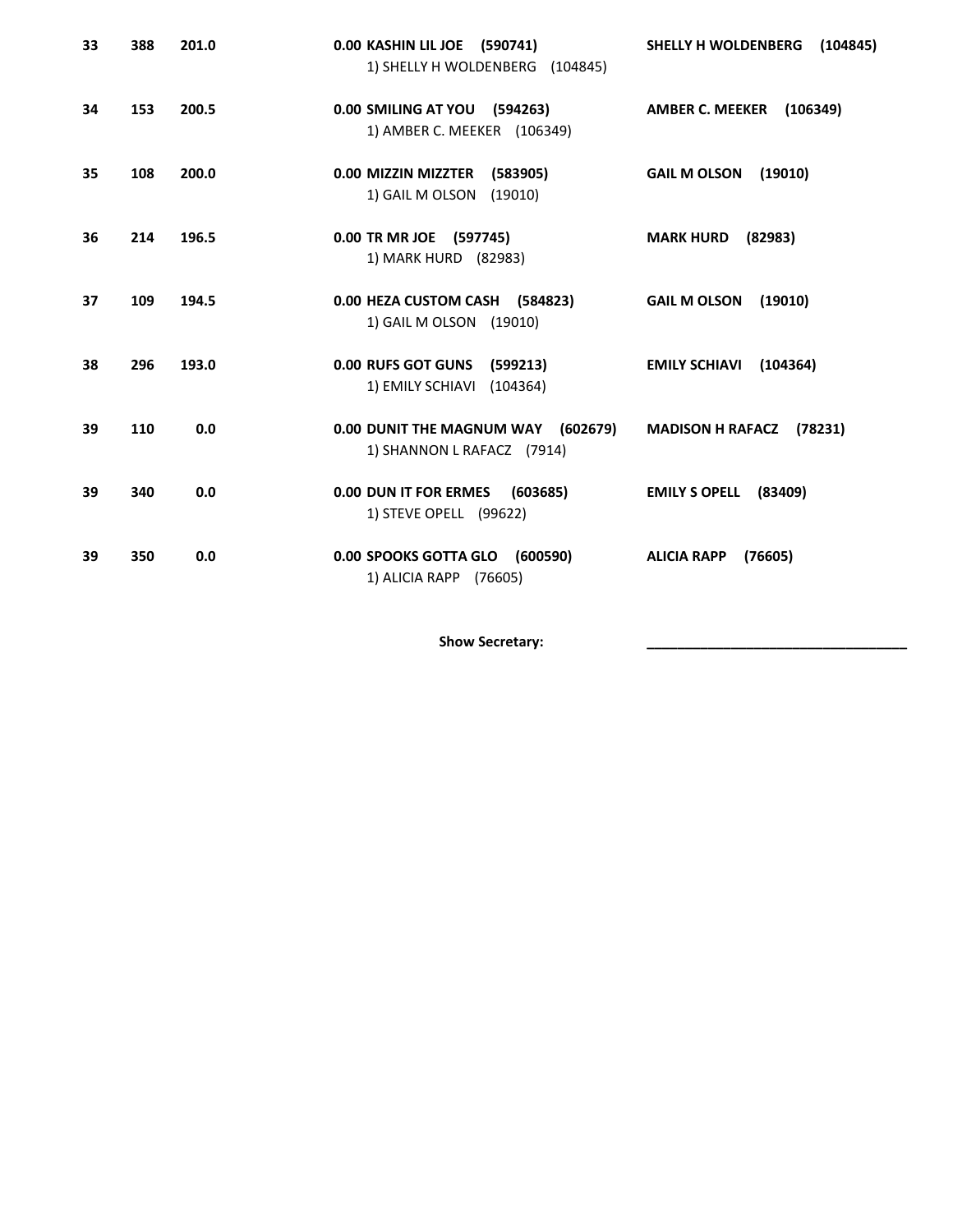| 33 | 388 | 201.0 | 0.00 KASHIN LIL JOE (590741)<br>1) SHELLY H WOLDENBERG (104845)    | SHELLY H WOLDENBERG<br>(104845)    |
|----|-----|-------|--------------------------------------------------------------------|------------------------------------|
| 34 | 153 | 200.5 | 0.00 SMILING AT YOU (594263)<br>1) AMBER C. MEEKER (106349)        | <b>AMBER C. MEEKER (106349)</b>    |
| 35 | 108 | 200.0 | 0.00 MIZZIN MIZZTER (583905)<br>1) GAIL M OLSON<br>(19010)         | <b>GAIL M OLSON</b><br>(19010)     |
| 36 | 214 | 196.5 | 0.00 TR MR JOE (597745)<br>1) MARK HURD (82983)                    | <b>MARK HURD</b><br>(82983)        |
| 37 | 109 | 194.5 | 0.00 HEZA CUSTOM CASH (584823)<br>1) GAIL M OLSON (19010)          | <b>GAIL M OLSON</b><br>(19010)     |
| 38 | 296 | 193.0 | <b>0.00 RUFS GOT GUNS</b><br>(599213)<br>1) EMILY SCHIAVI (104364) | (104364)<br><b>EMILY SCHIAVI</b>   |
| 39 | 110 | 0.0   | 0.00 DUNIT THE MAGNUM WAY (602679)<br>1) SHANNON L RAFACZ (7914)   | <b>MADISON H RAFACZ</b><br>(78231) |
| 39 | 340 | 0.0   | 0.00 DUN IT FOR ERMES<br>(603685)<br>1) STEVE OPELL (99622)        | <b>EMILY S OPELL</b><br>(83409)    |
| 39 | 350 | 0.0   | 0.00 SPOOKS GOTTA GLO<br>(600590)<br>1) ALICIA RAPP (76605)        | <b>ALICIA RAPP</b><br>(76605)      |

Show Secretary: